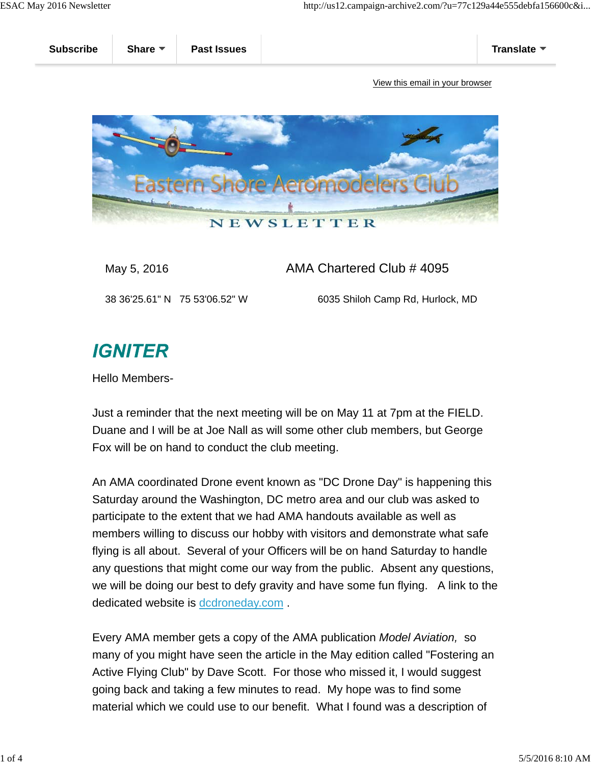

## May 5, 2016 **AMA Chartered Club # 4095**

38 36'25.61" N 75 53'06.52" W 6035 Shiloh Camp Rd, Hurlock, MD

## **IGNITER**

Hello Members-

Just a reminder that the next meeting will be on May 11 at 7pm at the FIELD. Duane and I will be at Joe Nall as will some other club members, but George Fox will be on hand to conduct the club meeting.

An AMA coordinated Drone event known as "DC Drone Day" is happening this Saturday around the Washington, DC metro area and our club was asked to participate to the extent that we had AMA handouts available as well as members willing to discuss our hobby with visitors and demonstrate what safe flying is all about. Several of your Officers will be on hand Saturday to handle any questions that might come our way from the public. Absent any questions, we will be doing our best to defy gravity and have some fun flying. A link to the dedicated website is dcdroneday.com .

Every AMA member gets a copy of the AMA publication *Model Aviation,* so many of you might have seen the article in the May edition called "Fostering an Active Flying Club" by Dave Scott. For those who missed it, I would suggest going back and taking a few minutes to read. My hope was to find some material which we could use to our benefit. What I found was a description of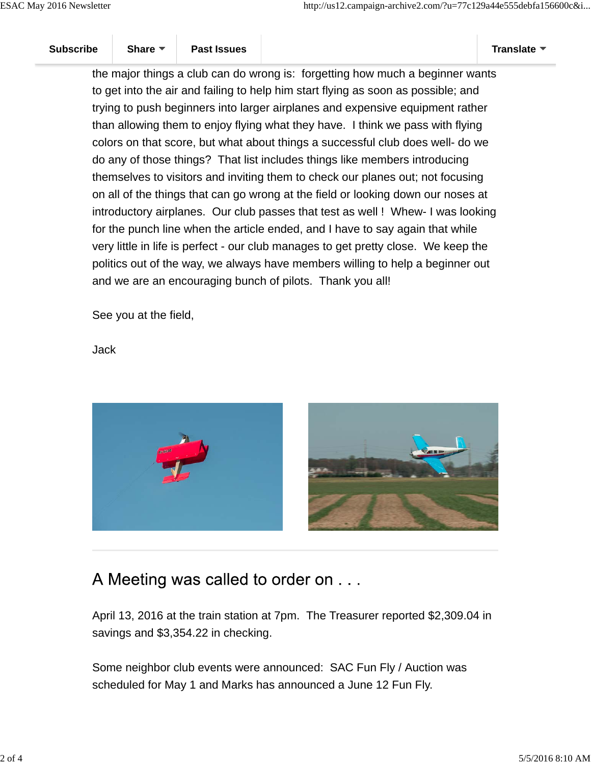the major things a club can do wrong is: forgetting how much a beginner wants to get into the air and failing to help him start flying as soon as possible; and trying to push beginners into larger airplanes and expensive equipment rather than allowing them to enjoy flying what they have. I think we pass with flying colors on that score, but what about things a successful club does well- do we do any of those things? That list includes things like members introducing themselves to visitors and inviting them to check our planes out; not focusing on all of the things that can go wrong at the field or looking down our noses at introductory airplanes. Our club passes that test as well ! Whew- I was looking for the punch line when the article ended, and I have to say again that while very little in life is perfect - our club manages to get pretty close. We keep the politics out of the way, we always have members willing to help a beginner out and we are an encouraging bunch of pilots. Thank you all!

See you at the field,

Jack





## A Meeting was called to order on . . .

April 13, 2016 at the train station at 7pm. The Treasurer reported \$2,309.04 in savings and \$3,354.22 in checking.

Some neighbor club events were announced: SAC Fun Fly / Auction was scheduled for May 1 and Marks has announced a June 12 Fun Fly.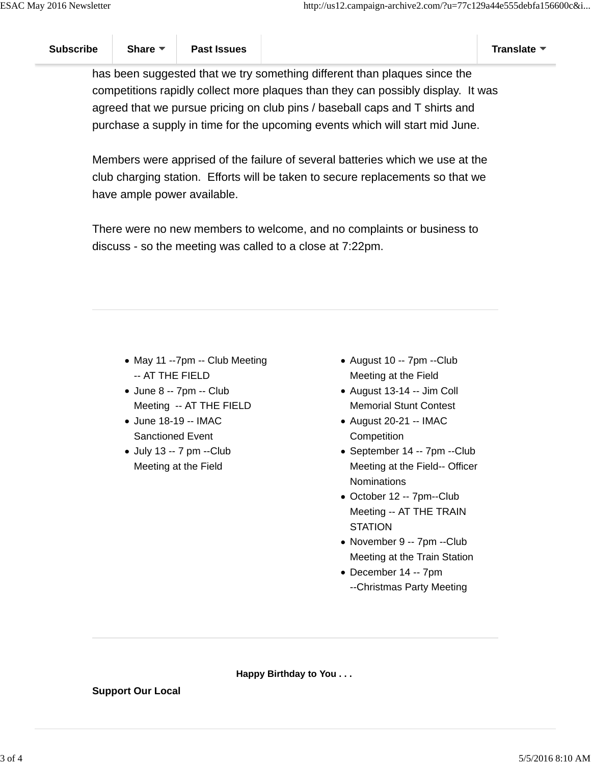has been suggested that we try something different than plaques since the competitions rapidly collect more plaques than they can possibly display. It was agreed that we pursue pricing on club pins / baseball caps and T shirts and purchase a supply in time for the upcoming events which will start mid June.

Members were apprised of the failure of several batteries which we use at the club charging station. Efforts will be taken to secure replacements so that we have ample power available.

There were no new members to welcome, and no complaints or business to discuss - so the meeting was called to a close at 7:22pm.

- May 11 --7pm -- Club Meeting -- AT THE FIELD
- June 8 -- 7pm -- Club Meeting -- AT THE FIELD
- June 18-19 -- IMAC Sanctioned Event
- July 13 -- 7 pm --Club Meeting at the Field
- August 10 -- 7pm --Club Meeting at the Field
- August 13-14 -- Jim Coll Memorial Stunt Contest
- August 20-21 -- IMAC **Competition**
- September 14 -- 7pm --Club Meeting at the Field-- Officer **Nominations**
- October 12 -- 7pm--Club Meeting -- AT THE TRAIN **STATION**
- November 9 -- 7pm --Club Meeting at the Train Station
- December 14 -- 7pm --Christmas Party Meeting